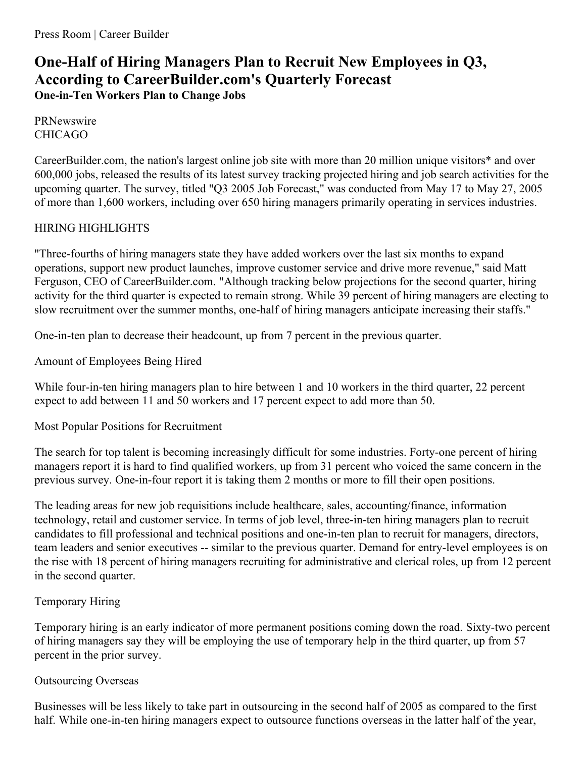# **One-Half of Hiring Managers Plan to Recruit New Employees in Q3, According to CareerBuilder.com's Quarterly Forecast One-in-Ten Workers Plan to Change Jobs**

**PRNewswire** CHICAGO

CareerBuilder.com, the nation's largest online job site with more than 20 million unique visitors\* and over 600,000 jobs, released the results of its latest survey tracking projected hiring and job search activities for the upcoming quarter. The survey, titled "Q3 2005 Job Forecast," was conducted from May 17 to May 27, 2005 of more than 1,600 workers, including over 650 hiring managers primarily operating in services industries.

# HIRING HIGHLIGHTS

"Three-fourths of hiring managers state they have added workers over the last six months to expand operations, support new product launches, improve customer service and drive more revenue," said Matt Ferguson, CEO of CareerBuilder.com. "Although tracking below projections for the second quarter, hiring activity for the third quarter is expected to remain strong. While 39 percent of hiring managers are electing to slow recruitment over the summer months, one-half of hiring managers anticipate increasing their staffs."

One-in-ten plan to decrease their headcount, up from 7 percent in the previous quarter.

Amount of Employees Being Hired

While four-in-ten hiring managers plan to hire between 1 and 10 workers in the third quarter, 22 percent expect to add between 11 and 50 workers and 17 percent expect to add more than 50.

Most Popular Positions for Recruitment

The search for top talent is becoming increasingly difficult for some industries. Forty-one percent of hiring managers report it is hard to find qualified workers, up from 31 percent who voiced the same concern in the previous survey. One-in-four report it is taking them 2 months or more to fill their open positions.

The leading areas for new job requisitions include healthcare, sales, accounting/finance, information technology, retail and customer service. In terms of job level, three-in-ten hiring managers plan to recruit candidates to fill professional and technical positions and one-in-ten plan to recruit for managers, directors, team leaders and senior executives -- similar to the previous quarter. Demand for entry-level employees is on the rise with 18 percent of hiring managers recruiting for administrative and clerical roles, up from 12 percent in the second quarter.

# Temporary Hiring

Temporary hiring is an early indicator of more permanent positions coming down the road. Sixty-two percent of hiring managers say they will be employing the use of temporary help in the third quarter, up from 57 percent in the prior survey.

## Outsourcing Overseas

Businesses will be less likely to take part in outsourcing in the second half of 2005 as compared to the first half. While one-in-ten hiring managers expect to outsource functions overseas in the latter half of the year,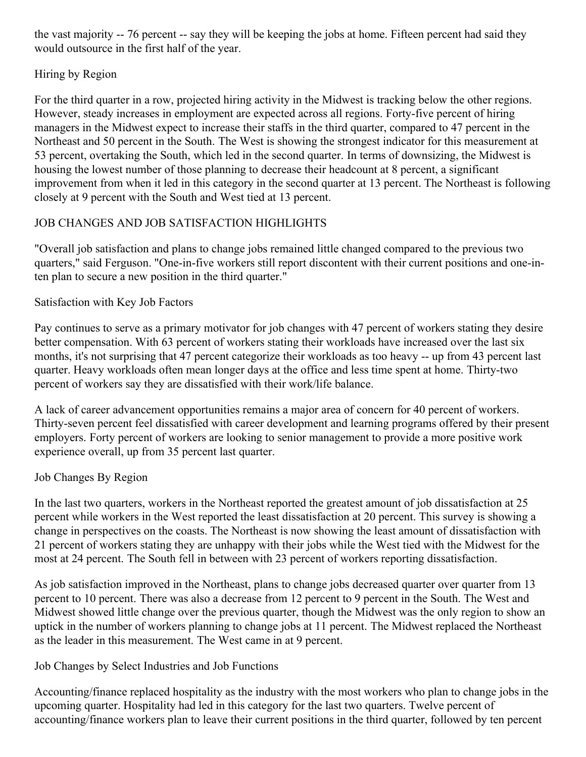the vast majority -- 76 percent -- say they will be keeping the jobs at home. Fifteen percent had said they would outsource in the first half of the year.

## Hiring by Region

For the third quarter in a row, projected hiring activity in the Midwest is tracking below the other regions. However, steady increases in employment are expected across all regions. Forty-five percent of hiring managers in the Midwest expect to increase their staffs in the third quarter, compared to 47 percent in the Northeast and 50 percent in the South. The West is showing the strongest indicator for this measurement at 53 percent, overtaking the South, which led in the second quarter. In terms of downsizing, the Midwest is housing the lowest number of those planning to decrease their headcount at 8 percent, a significant improvement from when it led in this category in the second quarter at 13 percent. The Northeast is following closely at 9 percent with the South and West tied at 13 percent.

## JOB CHANGES AND JOB SATISFACTION HIGHLIGHTS

"Overall job satisfaction and plans to change jobs remained little changed compared to the previous two quarters," said Ferguson. "One-in-five workers still report discontent with their current positions and one-inten plan to secure a new position in the third quarter."

## Satisfaction with Key Job Factors

Pay continues to serve as a primary motivator for job changes with 47 percent of workers stating they desire better compensation. With 63 percent of workers stating their workloads have increased over the last six months, it's not surprising that 47 percent categorize their workloads as too heavy -- up from 43 percent last quarter. Heavy workloads often mean longer days at the office and less time spent at home. Thirty-two percent of workers say they are dissatisfied with their work/life balance.

A lack of career advancement opportunities remains a major area of concern for 40 percent of workers. Thirty-seven percent feel dissatisfied with career development and learning programs offered by their present employers. Forty percent of workers are looking to senior management to provide a more positive work experience overall, up from 35 percent last quarter.

## Job Changes By Region

In the last two quarters, workers in the Northeast reported the greatest amount of job dissatisfaction at 25 percent while workers in the West reported the least dissatisfaction at 20 percent. This survey is showing a change in perspectives on the coasts. The Northeast is now showing the least amount of dissatisfaction with 21 percent of workers stating they are unhappy with their jobs while the West tied with the Midwest for the most at 24 percent. The South fell in between with 23 percent of workers reporting dissatisfaction.

As job satisfaction improved in the Northeast, plans to change jobs decreased quarter over quarter from 13 percent to 10 percent. There was also a decrease from 12 percent to 9 percent in the South. The West and Midwest showed little change over the previous quarter, though the Midwest was the only region to show an uptick in the number of workers planning to change jobs at 11 percent. The Midwest replaced the Northeast as the leader in this measurement. The West came in at 9 percent.

## Job Changes by Select Industries and Job Functions

Accounting/finance replaced hospitality as the industry with the most workers who plan to change jobs in the upcoming quarter. Hospitality had led in this category for the last two quarters. Twelve percent of accounting/finance workers plan to leave their current positions in the third quarter, followed by ten percent